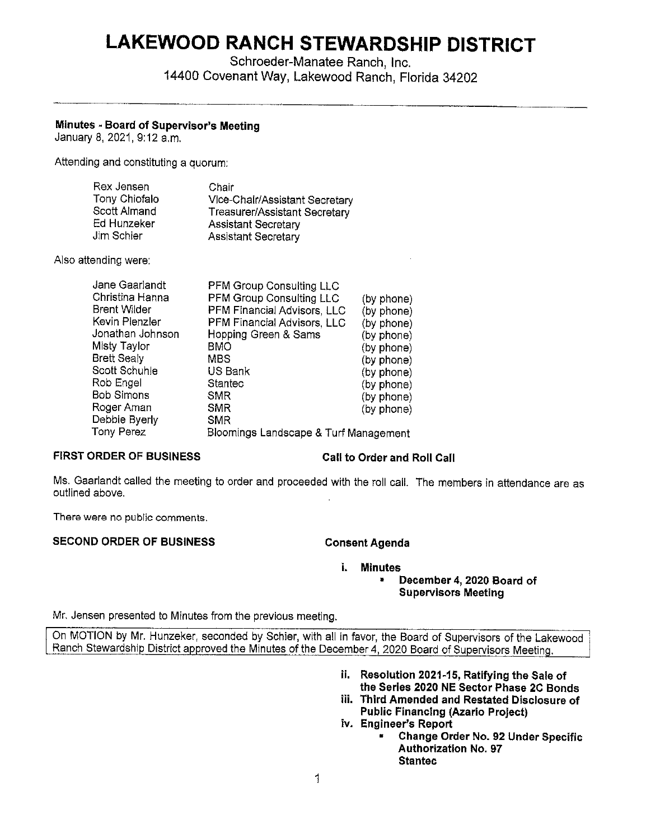# **LAKEWOOD RANCH STEWARDSHIP DISTRICT**

Schroeder-Manatee Ranch, Inc. 14400 Covenant Way, Lakewood Ranch, Florida 34202

# **Minutes • Board of Supervisor's Meeting**

January 8, 2021, 9:12 a.m.

Attending and constituting a quorum:

| Rex Jensen    | Chair                          |
|---------------|--------------------------------|
| Tony Chiofalo | Vice-Chair/Assistant Secretary |
| Scott Almand  | Treasurer/Assistant Secretary  |
| Ed Hunzeker   | <b>Assistant Secretary</b>     |
| Jim Schier    | <b>Assistant Secretary</b>     |

Also attending were:

| Jane Gaarlandt      | <b>PFM Group Consulting LLC</b>       |            |
|---------------------|---------------------------------------|------------|
| Christina Hanna     | PFM Group Consulting LLC              | (by phone) |
| <b>Brent Wilder</b> | PFM Financial Advisors, LLC           | (by phone) |
| Kevin Plenzler      | PFM Financial Advisors, LLC           | (by phone) |
| Jonathan Johnson    | Hopping Green & Sams                  | (by phone) |
| Misty Taylor        | BMO                                   | (by phone) |
| <b>Brett Sealy</b>  | <b>MBS</b>                            | (by phone) |
| Scott Schuhle       | US Bank                               | (by phone) |
| Rob Engel           | Stantec                               | (by phone) |
| <b>Bob Simons</b>   | <b>SMR</b>                            | (by phone) |
| Roger Aman          | <b>SMR</b>                            | (by phone) |
| Debbie Byerly       | <b>SMR</b>                            |            |
| Tony Perez          | Bloomings Landscape & Turf Management |            |
|                     |                                       |            |

# **FIRST ORDER OF BUSINESS** Call to Order and Roll Call

Ms. Gaarlandt called the meeting to order and proceeded with the roll call. The members in attendance are as outlined above.

There were no public comments.

### **SECOND ORDER OF BUSINESS CONSERVING CONSERVATION CONSERVATION**

## **I. Minutes**

• **December 4, 2020 Board of Supervisors Meeting** 

Mr. Jensen presented to Minutes from the previous meeting.

On MOTION by Mr. Hunzeker, seconded by Schier, with all in favor, the Board of Supervisors of the Lakewood , Ranch Stewardship District approved the Minutes of the December 4, 2020 Board of Supervisors Meeting.

- **ii. Resolution 2021-15, Ratifying the Sale of the Series 2020 NE Sector Phase 2C Bonds**
- **iii. Third Amended and Restated Disclosure of Public Financing (Azario Project)**
- **iv. Engineer's Report** 
	- **Change Order No. 92 Under Specific Authorization No. 97 Stantec**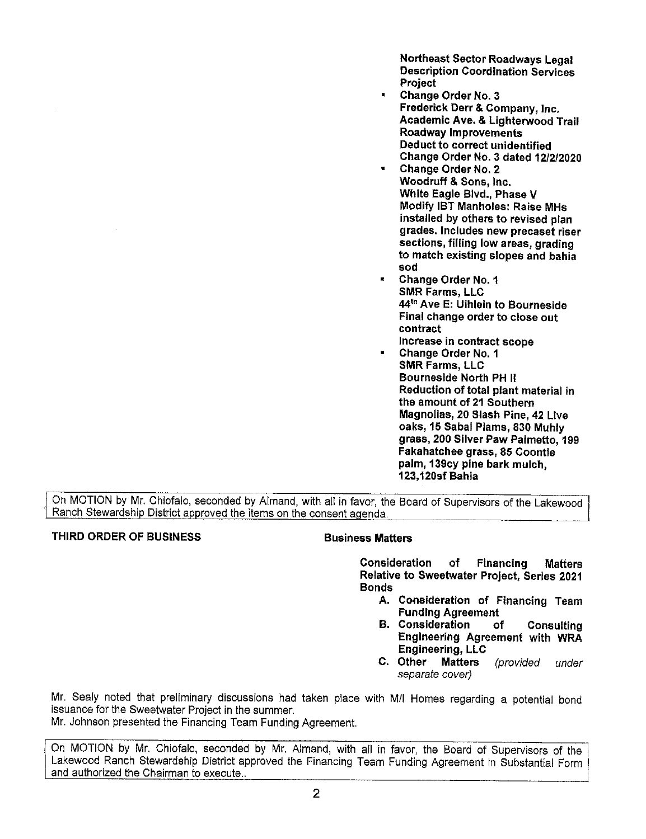Northeast Sector Roadways Legal Description Coordination Services Project

- Change Order No. 3 Frederick Derr & Company, Inc. Academic **Ave.** & Lighterwood Trail Roadway Improvements Deduct to correct unidentified Change Order No. 3 dated 12/2/2020
- Change Order No. 2 Woodruff & Sons, Inc. White Eagle Blvd., Phase V Modify IBT Manholes: Raise MHs installed by others to revised plan grades. Includes new precaset riser sections, filling low areas, grading to match existing slopes and bahia sod
- Change Order No. 1 SMR Farms, LLC 44th Ave E: Uihlein to Bourneside Final change order to close out contract Increase in contract scope
- Change Order No. 1 **SMR** Farms, LLC **Bourneside North PH** ii **Reduction of total plant material in the amount of 21 Southern Magnolias, 20 Slash Pine, 42 Live oaks, 15 Sabal Plams, 830 Muhly grass, 200 Sliver Paw Palmetto, 199 Fakahatchee grass, 85 Coontie palm, 139cy pine bark mulch, 123, 120sf Bahia**

On MOTION by Mr. Chiofalo, seconded by Almand, with all in favor, the Board of Supervisors of the Lakewood Ranch Stewardship District approved the items on the consent agenda.

### **THIRD ORDER OF BUSINESS BUSINESS Business Matters**

**Consideration of Financing Matters Relative to Sweetwater Project, Series 2021 Bonds** 

- **A. Consideration of Financing Team Funding Agreement**
- **B. Consideration of Consulting Engineering Agreement with WRA Engineering, LLC**
- **C. Other Matters** (provided under separate cover)

Mr. Sealy noted that preliminary discussions had taken place with M/I Homes regarding a potential bond issuance for the Sweetwater Project in the summer.

Mr. Johnson presented the Financing Team Funding Agreement.

On MOTION by Mr. Chiofalo, seconded by Mr. Almand, with all in favor, the Board of Supervisors of the Lakewood Ranch Stewardship District approved the Financing Team Funding Agreement in Substantial Form and authorized the Chairman to execute..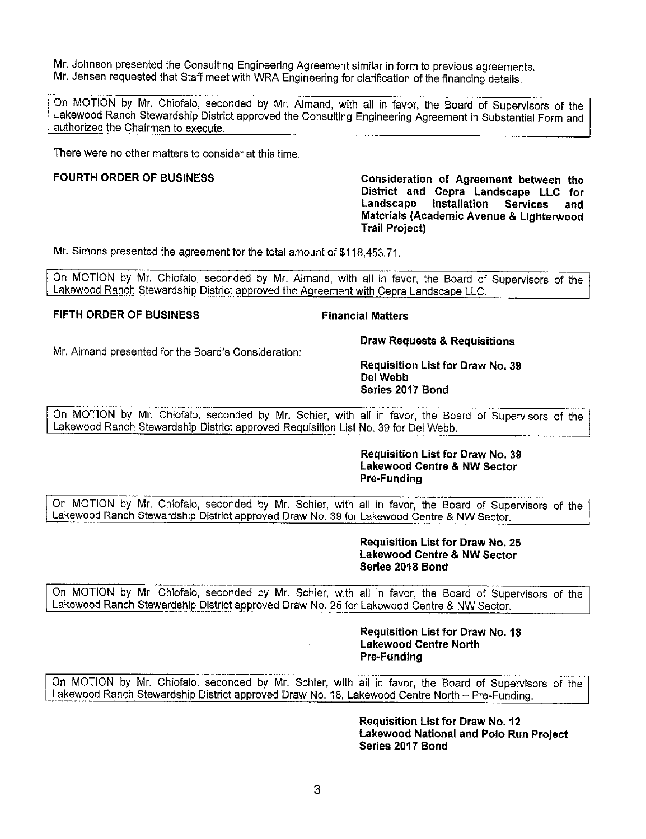Mr. Johnson presented the Consulting Engineering Agreement similar in form to previous agreements. Mr. Jensen requested that Staff meet with WRA Engineering for clarification of the financing details.

On MOTION by Mr. Chiofalo, seconded by Mr. Almand, with all in favor, the Board of Supervisors of the Lakewood Ranch Stewardship District approved the Consulting Engineering Agreement in Substantial Form and authorized the Chairman to execute.

There were no other matters to consider at this time.

Mr. Almand presented for the Board's Consideration:

FOURTH ORDER OF BUSINESS **Consideration of Agreement between the District and Cepra Landscape LLC for Landscape Installation Services and Materials (Academic Avenue & Lighterwood Trail Project)** 

Mr. Simons presented the agreement for the total amount of [\\$118,453.71.](https://118,453.71)

On MOTION by Mr. Chiofalo, seconded by Mr. Almand, with all in favor, the Board of Supervisors of the Lakewood Ranch Stewardship District approved the Agreement with Cepra Landscape LLC.

### **FIFTH ORDER OF BUSINESS FINANCIAL Financial Matters**

**Draw Requests & Requisitions** 

**Requisition List for Draw No. 39 Del Webb Series 2017 Bond** 

On MOTION by Mr. Chiofalo, seconded by Mr. Schier, with all in favor, the Board of Supervisors of the Lakewood Ranch Stewardship District approved Requisition List No. 39 for Del Webb.

### **Requisition List for Draw No. 39 Lakewood Centre & NW Sector Pre-Funding**

On MOTION by Mr. Chiofalo, seconded by Mr. Schier, with all in favor, the Board of Supervisors of the Lakewood Ranch Stewardship District approved Draw No. 39 for Lakewood Centre & **NW** Sector.

### **Requisition List for Draw No. 25 Lakewood Centre & NW Sector Series 2018 Bond**

On MOTION by Mr. Chiofalo, seconded by Mr. Schier, with all in favor, the Board of Supervisors of the Lakewood Ranch Stewardship District approved Draw No. 25 for Lakewood Centre & NW Sector.

### **Requisition List for Draw No. 18 Lakewood Centre North Pre-Funding**

On MOTION by Mr. Chiofalo, seconded by Mr. Schier, with all in favor, the Board of Supervisors of the Lakewood Ranch Stewardship District approved Draw No. 18, Lakewood Centre North - Pre-Funding.

> **Requisition List for Draw No. 12 Lakewood National and Polo Run Project Series 2017 Bond**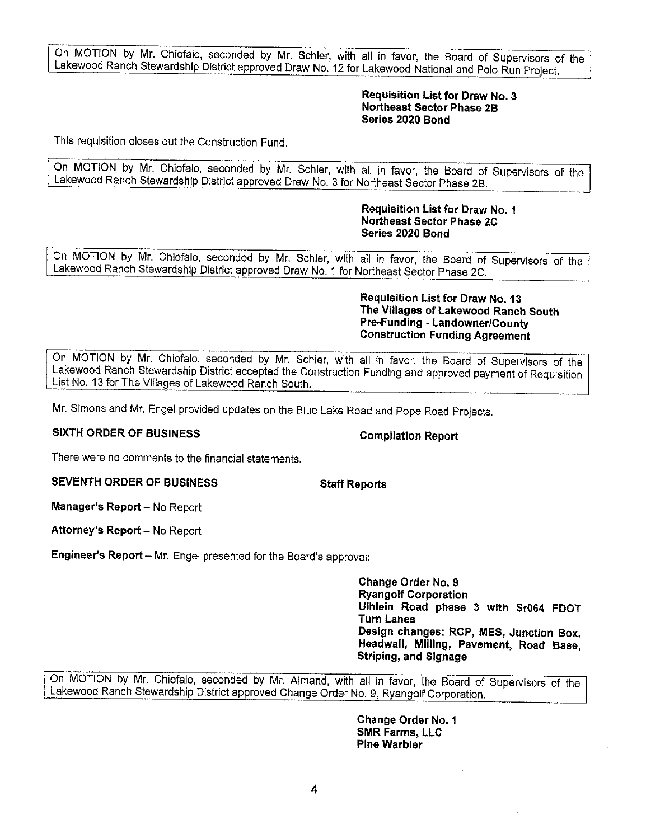On MOTION by Mr. Chiofalo, seconded by Mr. Schier, with all in favor, the Board of Supervisors of the Lakewood Ranch Stewardship District approved Draw No. 12 for Lakewood National and Polo Run Project.

### **Requisition List for Draw No. 3 Northeast Sector Phase 2B Series 2020 Bond**

This requisition closes out the Construction Fund.

On MOTION by Mr. Chiofalo, seconded by Mr. Schier, with all in favor, the Board of Supervisors of the Lakewood Ranch Stewardship District approved Draw No. 3 for Northeast Sector Phase 28.

### **Requisition List for braw No. 1 Northeast Sector Phase 2C Series 2020 Bond**

On MOTION by Mr. Chiofalo, seconded by Mr. Schier, with all in favor, the Board of Supervisors of the Lakewood Ranch Stewardship District approved Draw No. 1 for Northeast Sector Phase 2C.

**Requisition List for Draw No.13 The Villages of Lakewood Ranch South Pre-Funding - Landowner/County Construction Funding Agreement** 

On MOTION by Mr. Chiofalo, seconded by Mr. Schier, with all in favor, the Board of Supervisors of the Lakewood Ranch Stewardship District accepted the Construction Funding and approved payment of Requisition List No. 13 for The Villages of Lakewood Ranch South.

Mr. Simons and Mr. Engel provided updates on the Blue Lake Road and Pope Road Projects.

# **SIXTH ORDER OF BUSINESS** Compilation Report

There were no comments to the financial statements.

**SEVENTH ORDER OF BUSINESS Staff Reports** 

**Manager's Report** - No Report

Attorney's Report - No Report

**Engineer's Report** - Mr. Engel presented for the Board's approval:

**Change Order No. 9 Ryangolf Corporation Uihlein Road phase 3 with Sr064 FOOT Turn Lanes Design changes: RCP, MES, Junction Box, Headwall, Milling, Pavement, Road Base, Striping, and Signage** 

On MOTION by Mr. Chiofalo, seconded by Mr. Almand, with all in favor, the Board of Supervisors of the Lakewood Ranch Stewardship District approved Change Order No. 9, Ryangolf Corporation.

**Change Order No. 1 SMR Farms, LLC Pine Warbler**